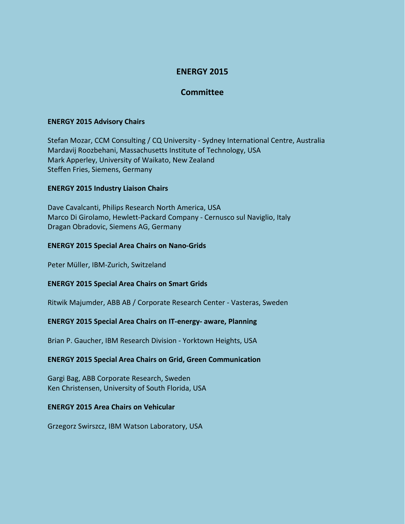# **ENERGY 2015**

## **Committee**

## **ENERGY 2015 Advisory Chairs**

Stefan Mozar, CCM Consulting / CQ University - Sydney International Centre, Australia Mardavij Roozbehani, Massachusetts Institute of Technology, USA Mark Apperley, University of Waikato, New Zealand Steffen Fries, Siemens, Germany

## **ENERGY 2015 Industry Liaison Chairs**

Dave Cavalcanti, Philips Research North America, USA Marco Di Girolamo, Hewlett-Packard Company - Cernusco sul Naviglio, Italy Dragan Obradovic, Siemens AG, Germany

## **ENERGY 2015 Special Area Chairs on Nano-Grids**

Peter Müller, IBM-Zurich, Switzeland

## **ENERGY 2015 Special Area Chairs on Smart Grids**

Ritwik Majumder, ABB AB / Corporate Research Center - Vasteras, Sweden

## **ENERGY 2015 Special Area Chairs on IT-energy- aware, Planning**

Brian P. Gaucher, IBM Research Division - Yorktown Heights, USA

## **ENERGY 2015 Special Area Chairs on Grid, Green Communication**

Gargi Bag, ABB Corporate Research, Sweden Ken Christensen, University of South Florida, USA

#### **ENERGY 2015 Area Chairs on Vehicular**

Grzegorz Swirszcz, IBM Watson Laboratory, USA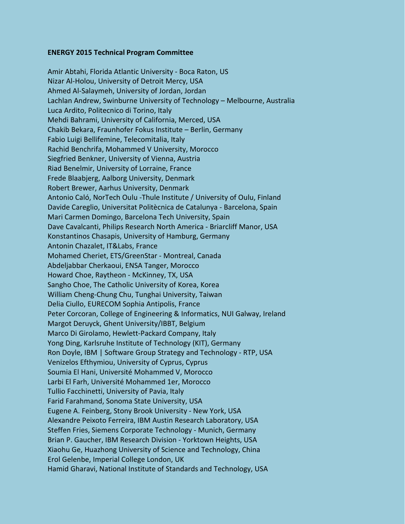#### **ENERGY 2015 Technical Program Committee**

Amir Abtahi, Florida Atlantic University - Boca Raton, US Nizar Al-Holou, University of Detroit Mercy, USA Ahmed Al-Salaymeh, University of Jordan, Jordan Lachlan Andrew, Swinburne University of Technology – Melbourne, Australia Luca Ardito, Politecnico di Torino, Italy Mehdi Bahrami, University of California, Merced, USA Chakib Bekara, Fraunhofer Fokus Institute – Berlin, Germany Fabio Luigi Bellifemine, Telecomitalia, Italy Rachid Benchrifa, Mohammed V University, Morocco Siegfried Benkner, University of Vienna, Austria Riad Benelmir, University of Lorraine, France Frede Blaabjerg, Aalborg University, Denmark Robert Brewer, Aarhus University, Denmark Antonio Caló, NorTech Oulu -Thule Institute / University of Oulu, Finland Davide Careglio, Universitat Politècnica de Catalunya - Barcelona, Spain Mari Carmen Domingo, Barcelona Tech University, Spain Dave Cavalcanti, Philips Research North America - Briarcliff Manor, USA Konstantinos Chasapis, University of Hamburg, Germany Antonin Chazalet, IT&Labs, France Mohamed Cheriet, ETS/GreenStar - Montreal, Canada Abdeljabbar Cherkaoui, ENSA Tanger, Morocco Howard Choe, Raytheon - McKinney, TX, USA Sangho Choe, The Catholic University of Korea, Korea William Cheng-Chung Chu, Tunghai University, Taiwan Delia Ciullo, EURECOM Sophia Antipolis, France Peter Corcoran, College of Engineering & Informatics, NUI Galway, Ireland Margot Deruyck, Ghent University/IBBT, Belgium Marco Di Girolamo, Hewlett-Packard Company, Italy Yong Ding, Karlsruhe Institute of Technology (KIT), Germany Ron Doyle, IBM | Software Group Strategy and Technology - RTP, USA Venizelos Efthymiou, University of Cyprus, Cyprus Soumia El Hani, Université Mohammed V, Morocco Larbi El Farh, Université Mohammed 1er, Morocco Tullio Facchinetti, University of Pavia, Italy Farid Farahmand, Sonoma State University, USA Eugene A. Feinberg, Stony Brook University - New York, USA Alexandre Peixoto Ferreira, IBM Austin Research Laboratory, USA Steffen Fries, Siemens Corporate Technology - Munich, Germany Brian P. Gaucher, IBM Research Division - Yorktown Heights, USA Xiaohu Ge, Huazhong University of Science and Technology, China Erol Gelenbe, Imperial College London, UK Hamid Gharavi, National Institute of Standards and Technology, USA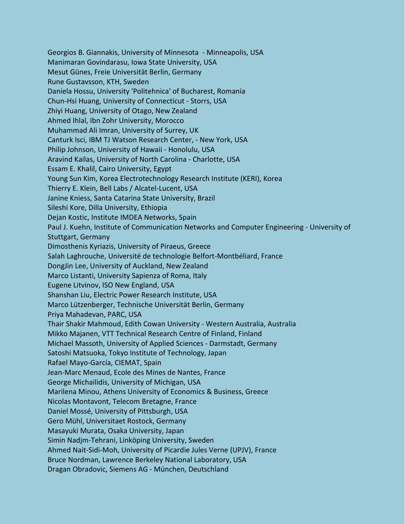Georgios B. Giannakis, University of Minnesota - Minneapolis, USA Manimaran Govindarasu, Iowa State University, USA Mesut Günes, Freie Universität Berlin, Germany Rune Gustavsson, KTH, Sweden Daniela Hossu, University 'Politehnica' of Bucharest, Romania Chun-Hsi Huang, University of Connecticut - Storrs, USA Zhiyi Huang, University of Otago, New Zealand Ahmed Ihlal, Ibn Zohr University, Morocco Muhammad Ali Imran, University of Surrey, UK Canturk Isci, IBM TJ Watson Research Center, - New York, USA Philip Johnson, University of Hawaii - Honolulu, USA Aravind Kailas, University of North Carolina - Charlotte, USA Essam E. Khalil, Cairo University, Egypt Young Sun Kim, Korea Electrotechnology Research Institute (KERI), Korea Thierry E. Klein, Bell Labs / Alcatel-Lucent, USA Janine Kniess, Santa Catarina State University, Brazil Sileshi Kore, Dilla University, Ethiopia Dejan Kostic, Institute IMDEA Networks, Spain Paul J. Kuehn, Institute of Communication Networks and Computer Engineering - University of Stuttgart, Germany Dimosthenis Kyriazis, University of Piraeus, Greece Salah Laghrouche, Université de technologie Belfort-Montbéliard, France DongJin Lee, University of Auckland, New Zealand Marco Listanti, University Sapienza of Roma, Italy Eugene Litvinov, ISO New England, USA Shanshan Liu, Electric Power Research Institute, USA Marco Lützenberger, Technische Universität Berlin, Germany Priya Mahadevan, PARC, USA Thair Shakir Mahmoud, Edith Cowan University - Western Australia, Australia Mikko Majanen, VTT Technical Research Centre of Finland, Finland Michael Massoth, University of Applied Sciences - Darmstadt, Germany Satoshi Matsuoka, Tokyo Institute of Technology, Japan Rafael Mayo-García, CIEMAT, Spain Jean-Marc Menaud, Ecole des Mines de Nantes, France George Michailidis, University of Michigan, USA Marilena Minou, Athens University of Economics & Business, Greece Nicolas Montavont, Telecom Bretagne, France Daniel Mossé, University of Pittsburgh, USA Gero Mühl, Universitaet Rostock, Germany Masayuki Murata, Osaka University, Japan Simin Nadjm-Tehrani, Linköping University, Sweden Ahmed Nait-Sidi-Moh, University of Picardie Jules Verne (UPJV), France Bruce Nordman, Lawrence Berkeley National Laboratory, USA Dragan Obradovic, Siemens AG - München, Deutschland